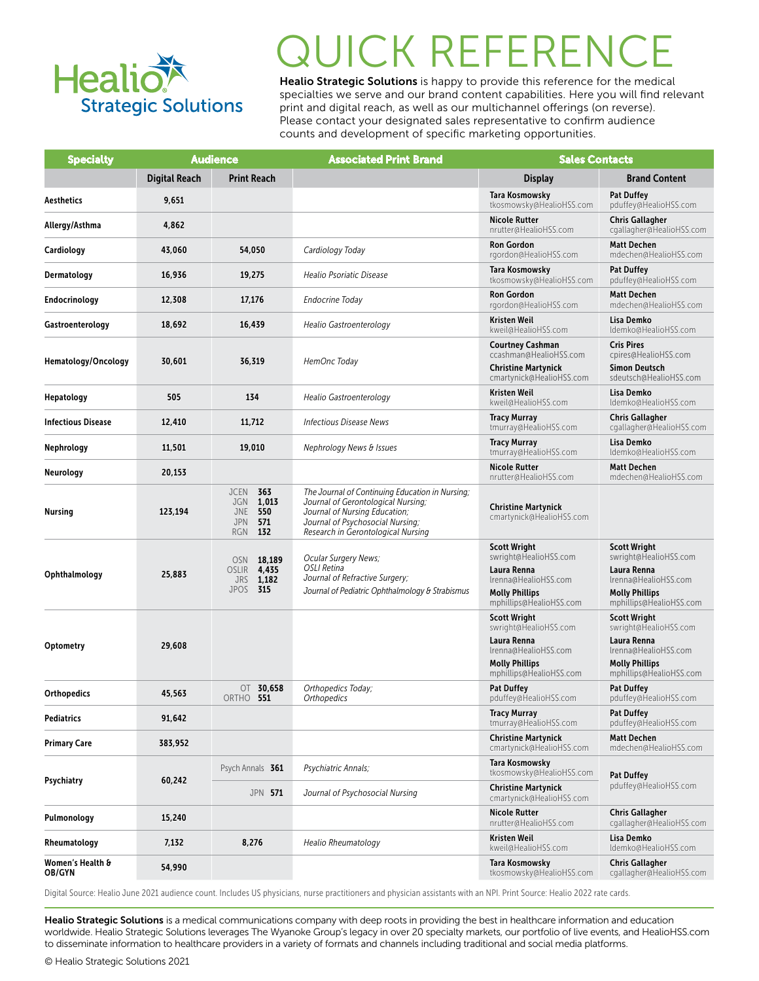

# **JICK REFEREN**

Healio Strategic Solutions is happy to provide this reference for the medical specialties we serve and our brand content capabilities. Here you will find relevant print and digital reach, as well as our multichannel offerings (on reverse). Please contact your designated sales representative to confirm audience counts and development of specific marketing opportunities.

| <b>Specialty</b>                  | <b>Audience</b>      |                                                                                            | <b>Associated Print Brand</b>                                                                                                                                                                    | <b>Sales Contacts</b>                                                                                                                   |                                                                                                                                         |
|-----------------------------------|----------------------|--------------------------------------------------------------------------------------------|--------------------------------------------------------------------------------------------------------------------------------------------------------------------------------------------------|-----------------------------------------------------------------------------------------------------------------------------------------|-----------------------------------------------------------------------------------------------------------------------------------------|
|                                   | <b>Digital Reach</b> | <b>Print Reach</b>                                                                         |                                                                                                                                                                                                  | <b>Display</b>                                                                                                                          | <b>Brand Content</b>                                                                                                                    |
| <b>Aesthetics</b>                 | 9,651                |                                                                                            |                                                                                                                                                                                                  | Tara Kosmowsky<br>tkosmowsky@HealioHSS.com                                                                                              | <b>Pat Duffey</b><br>pduffey@HealioHSS.com                                                                                              |
| Allergy/Asthma                    | 4,862                |                                                                                            |                                                                                                                                                                                                  | <b>Nicole Rutter</b><br>nrutter@HealioHSS.com                                                                                           | <b>Chris Gallagher</b><br>cgallagher@HealioHSS.com                                                                                      |
| Cardiology                        | 43,060               | 54,050                                                                                     | Cardiology Today                                                                                                                                                                                 | <b>Ron Gordon</b><br>rgordon@HealioHSS.com                                                                                              | <b>Matt Dechen</b><br>mdechen@HealioHSS.com                                                                                             |
| Dermatology                       | 16,936               | 19,275                                                                                     | Healio Psoriatic Disease                                                                                                                                                                         | Tara Kosmowsky<br>tkosmowsky@HealioHSS.com                                                                                              | <b>Pat Duffey</b><br>pduffey@HealioHSS.com                                                                                              |
| Endocrinology                     | 12,308               | 17,176                                                                                     | Endocrine Today                                                                                                                                                                                  | <b>Ron Gordon</b><br>rgordon@HealioHSS.com                                                                                              | <b>Matt Dechen</b><br>mdechen@HealioHSS.com                                                                                             |
| Gastroenterology                  | 18,692               | 16,439                                                                                     | Healio Gastroenterology                                                                                                                                                                          | Kristen Weil<br>kweil@HealioHSS.com                                                                                                     | Lisa Demko<br>Idemko@HealioHSS.com                                                                                                      |
| Hematology/Oncology               | 30,601               | 36,319                                                                                     | HemOnc Today                                                                                                                                                                                     | Courtney Cashman<br>ccashman@HealioHSS.com<br><b>Christine Martynick</b><br>cmartynick@HealioHSS.com                                    | <b>Cris Pires</b><br>cpires@HealioHSS.com<br><b>Simon Deutsch</b><br>sdeutsch@HealioHSS.com                                             |
| Hepatology                        | 505                  | 134                                                                                        | Healio Gastroenterology                                                                                                                                                                          | Kristen Weil<br>kweil@HealioHSS.com                                                                                                     | Lisa Demko<br>Idemko@HealioHSS.com                                                                                                      |
| <b>Infectious Disease</b>         | 12,410               | 11,712                                                                                     | <b>Infectious Disease News</b>                                                                                                                                                                   | <b>Tracy Murray</b><br>tmurray@HealioHSS.com                                                                                            | <b>Chris Gallagher</b><br>cgallagher@HealioHSS.com                                                                                      |
| Nephrology                        | 11,501               | 19,010                                                                                     | <b>Nephrology News &amp; Issues</b>                                                                                                                                                              | <b>Tracy Murray</b><br>tmurray@HealioHSS.com                                                                                            | Lisa Demko<br>Idemko@HealioHSS.com                                                                                                      |
| Neurology                         | 20,153               |                                                                                            |                                                                                                                                                                                                  | <b>Nicole Rutter</b><br>nrutter@HealioHSS.com                                                                                           | <b>Matt Dechen</b><br>mdechen@HealioHSS.com                                                                                             |
| Nursing                           | 123,194              | <b>JCEN</b><br>363<br>1,013<br>JGN<br>550<br>JNE<br><b>JPN</b><br>571<br><b>RGN</b><br>132 | The Journal of Continuing Education in Nursing;<br>Journal of Gerontological Nursing;<br>Journal of Nursing Education;<br>Journal of Psychosocial Nursing;<br>Research in Gerontological Nursing | <b>Christine Martynick</b><br>cmartynick@HealioHSS.com                                                                                  |                                                                                                                                         |
| Ophthalmology                     | 25,883               | <b>OSN</b><br>18,189<br><b>OSLIR</b><br>4,435<br><b>JRS 1,182</b><br><b>JPOS 315</b>       | Ocular Surgery News;<br>OSLI Retina<br>Journal of Refractive Surgery;<br>Journal of Pediatric Ophthalmology & Strabismus                                                                         | <b>Scott Wright</b><br>swright@HealioHSS.com<br>Laura Renna<br>lrenna@HealioHSS.com<br><b>Molly Phillips</b><br>mphillips@HealioHSS.com | <b>Scott Wright</b><br>swright@HealioHSS.com<br>Laura Renna<br>Irenna@HealioHSS.com<br><b>Molly Phillips</b><br>mphillips@HealioHSS.com |
| Optometry                         | 29,608               |                                                                                            |                                                                                                                                                                                                  | <b>Scott Wright</b><br>swright@HealioHSS.com<br>Laura Renna<br>Irenna@HealioHSS.com<br><b>Molly Phillips</b><br>mphillips@HealioHSS.com | <b>Scott Wright</b><br>swright@HealioHSS.com<br>Laura Renna<br>Irenna@HealioHSS.com<br><b>Molly Phillips</b><br>mphillips@HealioHSS.com |
| <b>Orthopedics</b>                | 45,563               | OT $30,658$<br>ORTHO 551                                                                   | Orthopedics Today;<br><b>Orthopedics</b>                                                                                                                                                         | Pat Duffey<br>pduffey@HealioHSS.com                                                                                                     | <b>Pat Duffey</b><br>pduffey@HealioHSS.com                                                                                              |
| Pediatrics                        | 91,642               |                                                                                            |                                                                                                                                                                                                  | <b>Tracy Murray</b><br>tmurray@HealioHSS.com                                                                                            | <b>Pat Duffey</b><br>pduffey@HealioHSS.com                                                                                              |
| <b>Primary Care</b>               | 383,952              |                                                                                            |                                                                                                                                                                                                  | <b>Christine Martynick</b><br>cmartynick@HealioHSS.com                                                                                  | <b>Matt Dechen</b><br>mdechen@HealioHSS.com                                                                                             |
| Psychiatry                        | 60,242               | Psych Annals 361                                                                           | Psychiatric Annals;                                                                                                                                                                              | Tara Kosmowsky<br>tkosmowsky@HealioHSS.com                                                                                              | <b>Pat Duffey</b><br>pduffey@HealioHSS.com                                                                                              |
|                                   |                      | JPN 571                                                                                    | Journal of Psychosocial Nursing                                                                                                                                                                  | <b>Christine Martynick</b><br>cmartynick@HealioHSS.com                                                                                  |                                                                                                                                         |
| Pulmonology                       | 15,240               |                                                                                            |                                                                                                                                                                                                  | Nicole Rutter<br>nrutter@HealioHSS.com                                                                                                  | <b>Chris Gallagher</b><br>cgallagher@HealioHSS.com                                                                                      |
| Rheumatology                      | 7,132                | 8,276                                                                                      | Healio Rheumatology                                                                                                                                                                              | Kristen Weil<br>kweil@HealioHSS.com                                                                                                     | Lisa Demko<br>Idemko@HealioHSS.com                                                                                                      |
| Women's Health &<br><b>OB/GYN</b> | 54,990               |                                                                                            |                                                                                                                                                                                                  | Tara Kosmowsky<br>tkosmowsky@HealioHSS.com                                                                                              | <b>Chris Gallagher</b><br>cgallagher@HealioHSS.com                                                                                      |

Digital Source: Healio June 2021 audience count. Includes US physicians, nurse practitioners and physician assistants with an NPI. Print Source: Healio 2022 rate cards.

Healio Strategic Solutions is a medical communications company with deep roots in providing the best in healthcare information and education worldwide. Healio Strategic Solutions leverages The Wyanoke Group's legacy in over 20 specialty markets, our portfolio of live events, and HealioHSS.com to disseminate information to healthcare providers in a variety of formats and channels including traditional and social media platforms.